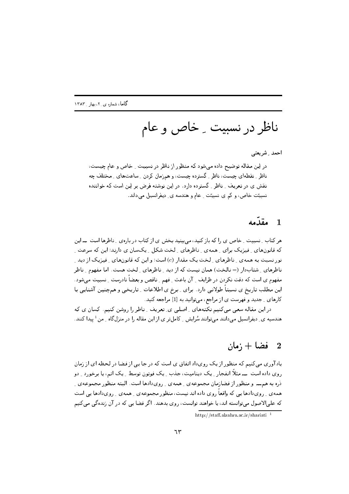ناظر در نسبیت ۔ خاص و عام

احمد \_ شريعتي

در این مقاله توضیح داده می شود که منظور از ناظر در نسبیت ِ خاص و عام چیست، ناظر ِ نقطهای چیست، ناظر ِ گسترده چیست، و همزمان کردن ِ ساعتهای ِ مختلف چه نقش ی در تعریف ِ ناظر ِ گسترده دارد. در این نوشته فرض بر این است که خواننده نسبیتت خاص، و کم ی نسبیتت ِ عام و هندسه ی ِ دیفرانسیل میداند.

# 1 مقدّمه

هر کتاب ِ نسبیت ِ خاص ی را که باز کنید، می بینید بخش ی از کتاب در باره ی ِ ناظرها است ــــ این که قانونهای ِ فیزیک برای ِ همهی ِ ناظرهای ِ لخت شکل ِ یکسان ی دارند؛ این که سرعت ِ نور نسبت به همهءی ِ ناظرهای ِ لخت یک مقدار (c) است؛ و این که قانونهای ِ فیزیک از دید ِ ناظرهای ِ شتابدار (= نالخت) همان نیست که از دید ِ ناظرهای ِ لخت هست. اما مفهوم ِ ناظر مفهوم ی است که دقت نکردن در ظرایف <sub>-</sub> آن باعث <sub>-</sub> فهم <sub>-</sub> ناقص و بعضاً نادرست <sub>-</sub> نسبیت می شود . این مطلب تاریخ ی نسبتاً طولانی دارد. برای پهرخ ی اطلاعات په تاریخی و همچنین آشنایی با کارهای ِ جدید و فهرست ی از مراجع، میتوانید به [1] مراجعه کنید.

در این مقاله سعی می کنیم نکتههای ِ اصلی ی ِ تعریف ِ ناظر را روشن کنیم. کسان ی که هندسیه ی ِ دیفرانسیل میدانند میتوانند سُرایش ِ کاملتر ی از این مقاله را در منزلگاه ِ من <sup>1</sup> پیدا کنند.

#### فضا + ;مان  $\overline{\phantom{a}}^2$

یادآوری مبی کنیم که منظور از یک رویداد اتفاق ی است که در جا یبی از فضا در لحظه ای از زمان روی داده است ـــــ مثلاً انفجار ِ یک دینامیت، جذب ِ یک فوتون توسط ِ یک اتم، یا برخورد ِ دو ذره به همت و منظور از فضازمان مجموعهی رهمهی رویدادها است. البته منظور مجموعهی ر همه ی ِ رویدادها یی که واقعاً روی داده اند نیست، منظور مجموعه ی ِ همه ی ِ رویدادها یی است که علیالاصول میتوانسته اند، یا خواهند توانست، روی بدهند. اگر فضا یی که در آن زندهگی میکنیم

http://staff.alzahra.ac.ir/shariati $^{-1}$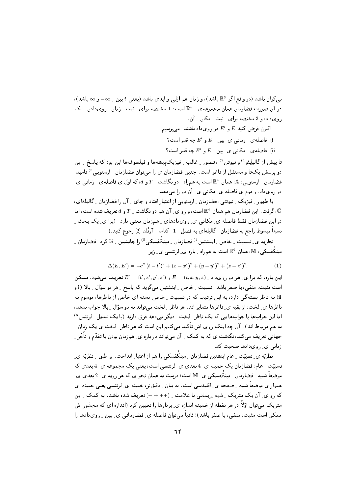بے کران باشد (در واقع اگر  $\mathbb{R}^3$  باشد)، و زمان هم ازلی و ابدی باشد (یعنی  $t$  بین ب $\infty$  و  $\infty$  باشد)، در آن صورت فضازمان همان مجموعه ی به هست: 1 مختصه برای به ثبت به زمان به رویدادن به یک روی داد، و 3 مختصه برای پشت مکان آن.

اکنون فرض کنید  $E$  و  $E'$  دو رویداد باشند. می پرسیم:

) فاصلهی ;مانی ی بین  $E$  و  $E'$  چه قدر است ؟

ii) فاصلهی ِ مکانی ی ِ بین ِ  $E$  و  $E'$  چه قدر است؟

تا پیش از گالیلِئو<sup>1)</sup> و نیوتن<sup>2)</sup> ، تصور <sub>-</sub> غالب <sub>-</sub> فیزیکییشهها و فیلسوفها این بود که پاسخ <sub>-</sub> این دو پرسش یکتا و مستقل از ناظر است. چنین فضازمان ی را میتوان فضازمان <sub>-</sub> ارستویی<sup>3)</sup> نامید. فضازمان ِ ارستویی، A، همان  $\mathbb{R}^4$  است به همراه ِ دو نگاشت ِ  $T$  و d، که اول ی فاصلهی ِ زمانی یِ دو رویداد، و دوم ی فاصله ی ِ مکانی ی ِ آن دو را میدهد.

با ظهور ِ فیزیک ِ نیوتنی، فضازمان ِ ارستویی از اعتبار افتاد و جای ِ آن را فضازمان ِ گالیلهای، . گرفت این فضازمان هم همان  $\mathbb{R}^4$  است، و رو ی ِ آن هم دو نگاشت  $T$  و  $b$  تعریف شده است، اما $\mathbb{G}$ در این فضازمان فقط فاصله ی ِ مکانبی ی ِ رویدادهای ِ همزمان معنبی دارد. (برا ی ِ یک بحث ِ نسبتاً مبسوط راجع به فضازمان \_ گالیلهای به فصل \_ 1 \_ کتاب \_ آرنُلد [2] رجوع کنید.)

نظریه ی ِ نسبیت ِ خاص ِ اِینشتین<sup>4)</sup> فضارمان ِ مینکُفسکی<sup>5)</sup> را جانشین ِ \_ ۞ کرد. فضارمان ِ مینکُفسکی، M. همان  $\mathbb{R}^4$  است به همراه ِ بازه ی ِ لرنتسی ی ِ زیر

$$
\Delta(E, E') = -c^2 (t - t')^2 + (x - x')^2 + (y - y')^2 + (z - z')^2.
$$
 (1)

این بازه، که برا ی ِ هر دو رویداد  $E=(t,x,y,z)$  و  $E'=(t',x',y',z')$  تعریف می شود، ممکن است مثبت، منفی، یا صفر باشد. نسبیت <sub>-</sub> خاص <sub>-</sub> اینشتین میگوید که پاسخ <sub>-</sub> هر دو سؤال <sub>-</sub> بالا (i و ii) به ناظر بستهگی دارد، به این ترتیب که در نسبیت ِ خاص دسته ای خاص از ناظرها، موسوم به ناظرها ي ِ لخت، از بقيه ي ِ ناظرها متمايز اند. هر ناظر ِ لخت مي تواند به دو سؤال ِ بِالا جواب بدهد، اما این جوابھا با جوابھا یی که یک ناظر <sub>-</sub> لخت <sub>-</sub> دیگر می دھد فرق دارند (با یک تبدیل <sub>-</sub> لرنتس <sup>6</sup>) به هم مربوط اند). آن چه اینک روی اش تأکید میکنیم این است که هر ناظر ِ لخت ی یک زمان ِ جهانبی تعریف میکند، نگاشت ی که به کمک ِ آن میتواند در باره ی ِ همزمان بودن یا تقدّم و تأخّر ِ زمانی ی<sub>-د و</sub>ی دادها صحبت کند.

نظریّه ی ِ نسبیّت ِ عام اینشتین فضازمان ِ مینکُفسکی را هم از اعتبار انداخت. بر طبق ِ نظریّه ی ِ نسبیّت ِ عام، فضازمان یک خمینه ی ِ 4 بعدی ی ِ لرنتسی است، یعنی یک مجموعه ی ِ 4 بعدی که موضعاً شبیه \_فضازمان \_مینکُفسکی ی\_ M است؛ درست به همان نحو ی که هر رویه ی\_ 2 بعدی ی\_ هموار ی موضعاً شبیه ِ صفحه ی ِ اقلیدسی است. به بیان ِ دقیقتر، خمینه ی ِ لرنتسی یعنی خمینه ای که رو ی ِ آن یک متریک ِ شبه ِ رِیمانی با علامت ِ (++ + –) تعریف شده باشد. به کمک ِ این متریک می;توان اوّلاً در هر نقطه از خمینه اندازه ی ِ بردارها را تعیین کرد (اندازه ای که مجذور اش ممکن است مثبت، منفی، یا صفر باشد)؛ ثانیاً میتوان فاصله ی ِ فضازمانی ی ِ بین ِ رویدادها را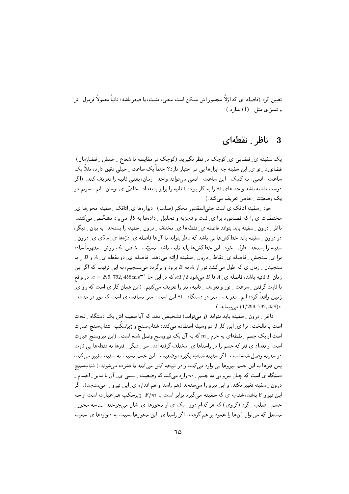تعیین کرد (فاصله ای که اوّلاً مجذور اش ممکن است منفی، مثبت، یا صفر باشد؛ ثانیاً معمولاً فرمول ِ تر و تميز ي مثل \_ (1) ندارد.)

#### ناظ نقطهای  $\boldsymbol{3}$

یک سفینه ی ِ فضایی ی ِ کوچک در نظر بگیرید (کوچک در مقایسه با شعاع ِ خمش ِ فضازمان). فضانورد ِ تو ی ِ این سفینه چه ابزارها یی در اختیار دارد؟ حتماً یک ساعت ِ خیلی دقیق دارد، مثلاً یک ساعت ِ اتمي. به كمک ِ اين ساعت ِ اتمي مي تواند واحد ِ زمان، يعني ثانيه را تعريف كند. (اگر دوست داشته باشد واحد های SI را به کار ببرد، 1 ثانیه را برابر با تعداد \_ خاصّ ی نوسان \_ اتم \_ سزیم در یک وضعیّت ِ خاص تعریف می کند.)

خود ِ سفینه اتاقک ی است حتی|لمقدور محکم (صلب). دیوارهها ی ِ اتاقک ِ سفینه محورها ی ِ مختصّات ی را که فضانورد برا ی ِ ثبت و تجزیه و تحلیل ِ دادهها به کار می برد مشخّص میکنند. ناظر ِ درون ِ سفینه باید بتواند فاصله ی ِ نقطهها ی ِ مختلف ِ درون ِ سفینه را بسنجد. به بیان ِ دیگر، در درون \_ سفینه باید خطکشها یی باشد که ناظر بتواند با آنها فاصله ی\_ ذرَّهها ی\_ مادّی ی\_ درون \_ سفینه را بسنجد. طول \_ خود \_ این خطکشها باید ثابت باشد. نسبیّت \_ خاص یک روش \_ مفهوماً ساده برا ي ِ سنجش ِ فاصله ي ِ نقاط ِ درون ِ سفينه ارائه مي دهد: فاصله ي ِ دو نقطه ي ِ A و B را با سنجیدن <sub>-</sub> زمان ی که طول میکشد نور از A به B برود و برگردد میسنجیم، به این ترتیب که اگر این زمان  $T$  ثانيه باشد، فاصله ي ِ A تا B مي شود  $cT/2$ ، كه در اين جا  $\cos T/9$  , 792, 792, 38  $c=0.$  در واقع با ثابت گرفتن ِ سرعت ِ نور و تعریف ِ ثانیه، متر را تعریف میکنیم. (این همان کار ی است که رو ی ِ زمین واقعاً کرده ایم. تعریف <sub>-</sub> متر در دستگاه <sub>-</sub> SI این است: متر مسافت ی است که نور در مدت <sub>-</sub>  $(.458)$  می $(1/299, 792, 458)$  s

ناظر ِ درون ِ سفینه باید بتواند (و میتواند) تشخیص دهد که آیا سفینه اش یک دستگاه ِ لخت است یا نالخت. برا ی ِ این کار از دو وسیله استفاده میکند: شتابسنج و ژیرُسکُپ. شتابسنج عبارت است از یک جسم ِ نقطهای به جرم ِ  $m$  که به آن یک نیروسنج وصل شده است. (این نیروسنج عبارت است از تعداد ی فنر که جسم را در راستاها ی ِ مختلف گرفته اند. سر ِ دیگر ِ فنرها به نقطهها پی ثابت در سفينه وصل شده است. اگر سفينه شتاب بگيرد، وضعيت \_ اين جسم نسبت به سفينه تغيير مي كند، پس فنرها به این جسم نیروها یی وارد میکنند و در نتیجه کش می آیند یا فشرده میشوند.) شتابسنج دستگاه ی است که چنان نیرو یی به جسم ِ  $m$  وارد میکند که وضعیت ِ نسبی ی ِ آن با سایر ِ اجسام ِ درون \_ سفينه تغيير نكند، و اين نيرو را مىسنجد (هم راستا و هم اندازه ي\_ اين نيرو را مىسنجد). اگر این نیرو F باشد، شتاب ی که سفینه می گیرد برابر است با F/m. ژیرسکپ هم عبارت است از سه جسم ِ صلب ِ گِرد (کروی) که هر کدام دور ِ یک ی از محورها ی ِ شان میچرخند ــــ سه محور ِ مستقل که میتوان آنها را عمود بر هم گرفت. اگر راستا ی ِ این محورها نسبت به دیوارهها ی ِ سفینه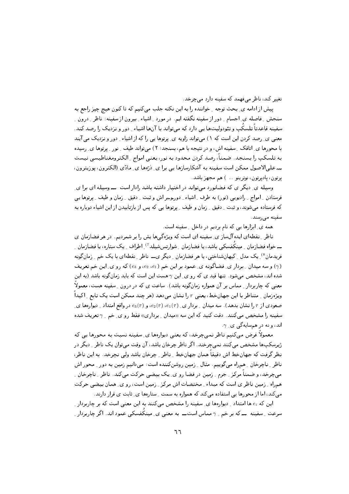تغییر کند، ناظ می فعمد که سفینه دارد می حرخد.

ییش از ادامه ی ِ بحث توجه ِ خواننده را به این نکته جلب میکنیم که تا کنون هیچ چیز راجع به سنجش ِ فاصله ی ِ اجسام ِ دور از سفینه نگفته ایم. در مورد ِ اشیاء ِ بیرون از سفینه: ناظر ِ درون ِ ِ سفینه قاعدتاً تلسکُپ و تئودولیتها یی دارد که میتواند با آنها اشیاء ِ دور و نزدیک را رصد کند. معنبی ی ِ رصد کردن این است که ۱) میتواند زاویه ی ِ پرتوها یی را که از اشیاء ِ دور و نزدیک می آیند با محورها ی ِ اتاقک ِ سفینه اش، و در نتیجه با هم، بسنجد؛ ۲) می تواند طیف ِ نور ِ پرتوها ی ِ رسیده به تلسكپ را بسنجد. ضمناً، رصد كردن محدود به نور، يعني امواج ِ الكترومغناطيسي نيست ـــ علىالاصول ممكن است سفينه به آشكارسازها يبي برا ي ِ دْرِّها ي ِ مادِّي (الكترون، يوزيترون، يرتون، ياديرتون، نوترينو ... ) هم مجهز باشد.

وسیله ی ِ دیگر ی که فضانورد می تواند در اختیار داشته باشد رادار است ـــــ وسیله ای برا ی فرستادن ِ امواج ِ رادیویی (نور) به طرف ِ اشیاء ِ دورِحِبر اش و ثبت ِ دقیق ِ زمان و طیف ِ پرتوها یبی که فرستاده می شوند، و ثبت ِ دقیق ِ زمان و طیف ِ پرتوها یی که پس از بازتابیدن از این اشیاء دوباره به سفینه مے رسند.

همه ی ِ ابزارها یی که نام بردیم در داخل ِ سفینه است.

ناظر ِ نقطهای ایده آل ساز ی ِ سفینه ای است که ویژه گی ها پش را بر شمردیم. در هر فضازمان ی ـــ خواه فضازمان \_ مینکُفسکی باشد، یا فضازمان \_ شوارتس٫شیلد آ′ ِ اطراف \_ یک ستاره، یا فضازمان \_ فریدمان <sup>8</sup>) یک مدل <sub>-</sub> کیهانشناختی، یا هر فضازمان <sub>-</sub> دیگر ی۔ ناظر <sub>-</sub> نقطهای با یک خم <sub>-</sub> زمانگونه و سه میدان ِ بردار ی ِ فضاگونه ی ِ عمود بر این خم (e2 ،e1)، و e3) که رو ی ِ این خم تعریف (e3) شده اند، مشخص میشود. تنها قید ی که رو ی ِ این  $\gamma$  هست این است که باید زمانگونه باشد (به این معنی که چاربردار \_ مماس بر آن همواره زمانگونه باشد). ساعت ی که در درون \_ سفینه هست، معمولاً ویژهزمان ِ متناظر با این جهانخط، یعنی  $\tau$  را نشان می دهد (هر چند ممکن است یک تابع ِ اکیداً صعودی از  $\tau$  را نشان بدهد). سه میدان ِ بردار ی ِ  $e_1(\tau)$  ،  $e_2(\tau)$  ، و  $e_3(\tau)$  در واقع امتداد ِ دیوارهها ی سفینه را مشخص می کنند. دقت کنید که این سه «میدان <sub>-</sub> برداری» فقط رو ی ِ خم <sub>- 1</sub> تعریف شده اند، و نه در همسایهگی ی ِ ۰٫

معمولاً فرض می کنیم ناظر نمی چرخد، که یعنی دیوارهها ی ِ سفینه نسبت به محورها یی که ژیرسکپھا مشخص میکنند نمیچرخند. اگر ناظر چرخان باشد، آن وقت میتوان یک ناظر ِ دیگر در نظر گرفت که جهانخط اش دقیقاً همان جهانخط ِ ناظر ِ چرخان باشد ولی نجرخد. به این ناظر، ناظر ِ ناچرخان ِ همراه میگوییم. مثال ِ زمین روشنکننده است: میدانیم زمین به دور ِ محور اش میچرخد، و ضمناً مرکز ِ جرم ِ زمین در فضا رو ی ِ یک بیضی حرکت میکند. ناظر ِ ناچرخان ِ همراه به زمین ناظر ی است که مبداء به مختصات اش مرکز به زمین است، رو ی به همان بیضی حرکت می کند، اما از محورها یی استفاده می کند که همواره به سمت ِ ستارهها ی ِ ثابت ی قرار دارند.

این که  $e_i$  ها امتداد ِ دیوارهها ی ِ سفینه را مشخص میکنند به این معنی است که بر چاربردار ِ سرعت ِ سفینه ــــ که بر خم ِ ِ  $\gamma$  مماس استـــــ به معنی ی ِ مینکُفسکی عمود اند. اگر چاربردار ِ ِ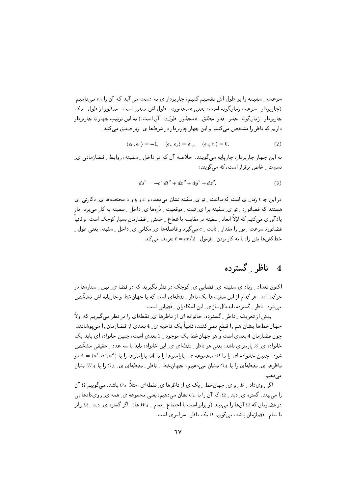سرعت ِ سفینه را بر طول اش تقسیم کنیم، چاربردار ی به دست می آید که آن ,ا eo می نامیم. (چاربردار ِ سرعت زمان گونه است، یعنبی «مجذور» ِ طول اش منفی است. منظور از طول ِ یک چاربردار <sub>-</sub> زمان گونه، جذر <sub>-</sub> قدر ِ مطلق <sub>- ((مجذور ِ طول» <sub>-</sub> آن است.) به این ترتیب چهار تا چاربردار</sub> داریم که ناظر را مشخص می کنند، و این چهار چاربردار در شرطها ی ِ زیر صدق می کنند.

$$
\langle e_0, e_0 \rangle = -1, \quad \langle e_i, e_j \rangle = \delta_{ij}, \quad \langle e_0, e_i \rangle = 0. \tag{2}
$$

به این چهار چاربردار، چارپایه میگویند. خلاصه آن که در داخل ِ سفینه، روابط ِ فضازمانی یِ نسیت کے اص برقرار است، که مے گویند:

$$
ds^{2} = -c^{2} dt^{2} + dx^{2} + dy^{2} + dz^{2}.
$$
 (3)

در این جا  $t$  زمان ی است که ساعت ِ تو ی ِ سفینه نشان میدهد، و  $x$  و  $y$  و  $z$  مختصهها ی ِ دکارتی ای هستند که فضانورد ِ تو ی ِ سفینه برا ی ِ ثبت ِ موقعیت ِ ِ ذرهها ی ِ داخل ِ سفینه به کار می برد. باز یادآوری میکنیم که اوّلاً ابعاد ِ سفینه در مقایسه با شعاع ِ خمش ِ فضازمان بسیار کوچک است؛ و ثانیاً ً فضانورد سرعت ِ نور را مقدار ِ ثابت ِ c میگیرد و فاصلهها ی ِ مکانی ی ِ داخل ِ سفینه، یعنی طول ِ ِ خطکشها پش را، با به کار بردن -ِ فرمول -ِ  $c\tau/2$  =  $\ell = c\tau/2$  تعریف می کند.

### ناظر گسترده  $\overline{\mathbf{4}}$

اکنون تعداد <sub>- ن</sub>یاد ی سفینه ی ِ فضایی ی ِ کوچک در نظر بگیرید که در فضا ی ِ بین ِ ستارهها در حرکت اند. هر کدام از این سفینهها یک ناظر ِ نقطهای است که با جهانخط و چارپایه اش مشخّص می شود. ناظر ِ گسترده، ایده آل ساز ی ِ این اسکادران ِ فضایی است.

پیش از تعریف ِ ناظر ِ گسترده، خانواده ای از ناظرها ی ِ نقطهای را در نظر میگیریم که اولاً جهانخطها يشان هم را قطع نمي كنند، ثانياً يک ناحيه ي 14 بعدي از فضازمان را مي پوشانند. چون فضازمان 4 بعدی است و هر جهانخط یک موجود 1 بعدی است، چنین خانواده ای باید یک خانواده ی ِ 3ـ پارمتری باشد، یعنی هر ناظر ِ نقطهای ی ِ این خانواده باید با سه عدد ِ حقیقی مشخّص شود. چنین خانواده ای را با  $\Omega$ ، مجموعه ی ِ پارامترها را با  $\mathcal A$ ، پارامترها را با  $A=(a^1,a^2,a^3)$ ، و ناظرها ی ِ نقطهای را با  $O_A$  نشان میدهیم. جهانخط ِ ناظر ِ نقطهای ی ِ  $O_A$  را با  $W_A$  نشان می دهیم.

اگر رویداد \_ E رو ی ِ جهانخط \_ یک ی از ناظرها ی ِ نقطهای، مثلاً  $O_A$  باشد، می گوییم Ω آن را می بیند. گستره ی ِ دید ِ Ω، که آن را با  $U_{\Omega}$  نشان می دهیم، یعنی مجموعه ی ِ همه ی ِ رویدادها یی در فضازمان که  $\Omega$  آنها را میبیند (و برابر است با اجتماع ِ تمام ِ  $W_A$  ها). اگر گستره ی ِ دید ِ  $\Omega$  برابر با تمام ِ فضازمان باشد، میگوییم Ω یک ناظر ِ سراسری است.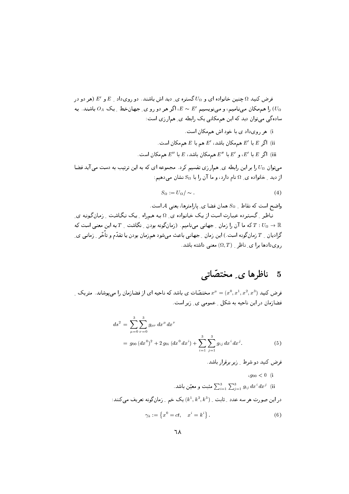فرض کنید  $\Omega$  چنین خانواده ای و  $U_{\Omega}$  گستره ی ِ دید اش باشند. دو رویداد  $E_{\perp}$  و  $E'$  (هر دو در را همهمکان مینامیم، و مینویسیم  $E \sim E' \sim E$  اگر هر دو رو ی ِ جهانخط ِ یک  $O_A$  باشند. به  $(U_\Omega$ سادهگی میتوان دید که این هممکانی یک رابطه ی ِ همارزی است:

- i) هر روی داد ی با خود اش هم مکان است.
- اگر  $E$  با  $E'$  هم مکان باشد،  $E'$  هم با  $E$  هم مکان است. (ii
- اگر  $E$  با  $E'$ ، و  $E'$  با  $E''$  هم مکان باشد،  $E$  با  $E''$  هم مکان است. (iii

میتوان  $U_{\Omega}$  را بر این رابطه ی ِ همارزی تقسیم کرد. مجموعه ای که به این ترتیب به دست می آید فضا از دید ِ خانواده ی ِ Ω نام دارد، و ما آن را با  $S_\Omega$  نشان میدهیم:

$$
S_{\Omega} := U_{\Omega} / \sim . \tag{4}
$$

واضح است که نقاط \_ Sa همان فضا ی ِ پارامترها، یعنی A است.

ناظر ِ گسترده عبارت است از یک خانواده ی ِ Ω به همراه ِ یک نگاشت ِ زمانگونه ی که ما آن را زمان ِ جهانبی میینامیم. (زمانگونه بودن ِ نگاشت ِ  $T$  به این معنبی است که  $T:U_\Omega\to\mathbb{R}$ گرادیان <sub>۔</sub>  $T$  زمان گونه است .) این زمان <sub>۔</sub> جهانی باعث می شود همزمان بودن یا تقدّم و تأخّر <sub>-</sub> زمانی ی ِ , وی دادها برای ناظر  $(\Omega, T)$  معنی داشته باشد.

## ناظرها ی مختصّاته -5

ورض کنید  $x^0, x^1, x^2, x^3) = x^\mu = x^\mu = x^\mu = (x^0, x^1, x^2, x^3)$  فرض کنید فضازمان در این ناحیه به شکل ِ عمومی ی ِ زیر است.

$$
ds^{2} = \sum_{\mu=0}^{3} \sum_{\nu=0}^{3} g_{\mu\nu} dx^{\mu} dx^{\nu}
$$
  
=  $g_{00} (dx^{0})^{2} + 2 g_{0i} (dx^{0} dx^{i}) + \sum_{i=1}^{3} \sum_{j=1}^{3} g_{ij} dx^{i} dx^{j}.$  (5)

- فرض کنید دو شرط \_ زیر برقرار باشد.
	- $\, g_{00} < 0 \,$  (i
- شبت و معیّن باشد.  $\sum_{i=1}^3\sum_{j=1}^3 g_{ij}\;dx^i\;dx^j\;$  (ii در این صورت هر سه عدد \_ ثابت \_  $(k^1,k^2,k^3)$  یک خم \_ زمانگونه تعریف میکنند:

$$
\gamma_k := \left\{ x^0 = ct, \quad x^i = k^i \right\}. \tag{6}
$$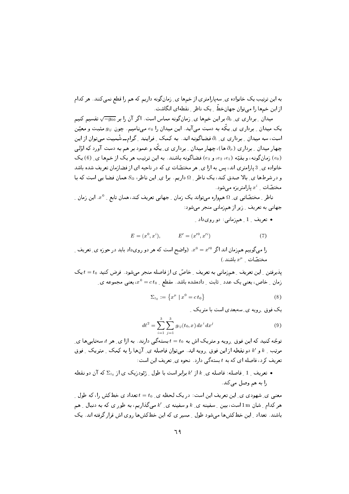به این ترتیب یک خانواده ی ِ سهپارامتری از خمها ی ِ زمان گونه داریم که هم را قطع نمی کنند. هر کدام از این خمها را میتوان جهانخط ِ یک ناظرِ ِ نقطهای انگاشت.

میدان ِ بِرداری ی ِ ∂ بر این خمها ی ِ زمانگونه مماس است. اگر آن را بر ‱ب تقسیم کنیم یک میدان <sub>به ت</sub>وداری ی پیگه به دست می آید. این میدان را e<sub>0</sub> می نامیم. چون  $g_{ij}$  مثبت و معیّن است، سه میدان <sub>-</sub> برداری ی ِ ،∂ فضاگونه اند. به کمک <sub>-</sub> فرایند <sub>-</sub> گرامــ شْمیت میتوان از این چهار میدان <sub>-</sub> برداری (۵<sub>۵</sub> ها)، چهار میدان <sub>-</sub> برداری ی ِ یکّه و عمود بر هم به دست آورد که اوّلی (e0) زمان گونه، و بقیّه (e2، e2، و e3) فضاگونه باشند. به این ترتیب هر یک از خمها ی ِ (6) یک خانواده ی ِ 3 پارامتری اند، پس به ازا ی ِ هر مختصّات ی که در ناحیه ای از فضازمان تعریف شده باشد و در شرطها ی ِ بالا صدق کند، یک ناظر ِ Ω داریم. برا ی ِ این ناظر،  $S_\Omega$  همان فضا یی است که با مختصّات  $x^i$  پارامتریزه می شود.

ناظر ِ مختصّاتی ی ِ Ω همواره میتواند یک زمان ِ جهانی تعریف کند، همان تابع ِ  $x^0$ . این زمان ِ جهانی به تعریف \_ زیر از همزمانی منجر میشود:

• تعریف 1 ِ همزمانی: دو رویداد ِ

$$
E = (x^0, x^i), \qquad E' = (x'^0, x'^i)
$$
 (7)

را میگوییم همزمان اند اگر  $x^0 = x'^0$ . (واضح است که هر دو رویداد باید در حوزه ی ِ تعریف ِ ، مختصّات  $x^{\mu}$  مختصّات

پذیرفتن ِ این تعریف ِ همزمانی به تعریف ِ خاصّ ی از فاصله منجر می شود. فرض کنید t = t0 یک زمان ِ خاص، یعنی یک عدد ِ ثابت ِ دادهشده باشد. مقطع ِ  $ct_0 = c$ ، یعنی مجموعه یِ

$$
\Sigma_{t_0} := \left\{ x^{\mu} \mid x^0 = ct_0 \right\} \tag{8}
$$

یک فوق رویه ی سه بعدی است با متریک

$$
d\ell^2 = \sum_{i=1}^3 \sum_{j=1}^3 g_{ij}(t_0, x) dx^i dx^j
$$
 (9)

توجّه کنید که این فوق ِ رویه و متریک اش به  $t=t_0$  بستهگی دارند. به ازا ی ِ هر  $t$  سهتاییها ی ِ مرتب ِ ع و /k دو نقطه از این فوق ِ رویه اند. میتوان فاصله ی ِ آنها را به کمک ِ متریک ِ فوق تعریف کرد، فاصله ای که به t بستهگی دارد. نحوه ی ِ تعریف این است:

ه تعریف ِ 1 ِ فاصله : فاصله ی ِ  $k$  از  $k$ برابر است با طول ِ رْئودزیک ی از  $\Sigma_{t_0}$  که آن دو نقطه • را به هم وصل میکند.

معنی ی ِ شهودی ی ِ این تعریف این است: در یک لحظه ی ِ t = t0 تعداد ی خطکش را، که طول ِ ِ هر کدام ِ شان 1m است، بین ِ سفینه ی ِ  $k$  و سفینه ی ِ  $k'$  میگذاریم، به طور ی که به دنبال ِ هم باشند. تعداد ِ این خطکشها میشود طول ِ مسیر ی که این خطکشها روی اش قرار گرفته اند. یک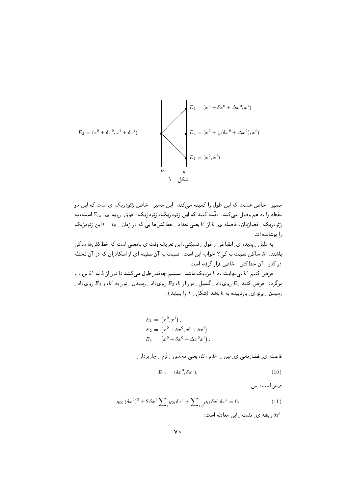

مسیر ِ خاص هست که این طول را کمینه میکند. این مسیر ِ خاص ژئودزیک ی است که این دو نقطه را به هم وصل می کند. دقّت کنید که این ژئودزیک، ژئودزیک ِ فوق ِ رویه ی ِ 5<sub>0 س</sub>ت، نه ژئودزیک ِ فضازمان. فاصله ی ِ k' j k یعنی تعداد ِ خطکشها یی که در زمان ِ t = t0 این ژئودزیک را بوشانده اند.

به دلیل ِ پدیده ی ِ انقباض ِ طول ِ نسبیّتی، این تعریف وقت ی بامعنی است که خطکشها ساکن باشند. امّا ساکن نسبت به کی؟ جواب این است: نسبت به آن سفینه ای از اسکادران که در آن لحظه در کنار کی خطکش خاص قرار گرفته است.

فرض کنیم  $k'$  بی نهایت به  $k$  نزدیک باشد. ببینیم چهقدر طول می کشد تا نور از  $k$  به  $k'$  برود و برگردد. فرض کنید  $E_1$  رویداد ِ گسیل ِ نور از  $E_2$  رویداد ِ رسیدن ِ نور به  $k^\prime$ ، و  $E_3$  رویداد ِ رسیدن ِ پرتو ی ِ بازتابیده به k باشد (شکل ِ ۱ را ببینید).

$$
E_1 = (x^0, x^i),
$$
  
\n
$$
E_2 = (x^0 + \delta x^0, x^i + \delta x^i),
$$
  
\n
$$
E_3 = (x^0 + \delta x^0 + \Delta x^0 x^i).
$$

فاصله ی ِ فضازمانی ی بین 1  $E_1$  و  $E_2$ ، یعنی مجذور ِ نُرم ِ چاربردار ِ  $E_{12} = (\delta x^0, \delta x^i).$  $(10)$ 

صفر است، پس

$$
g_{00} (\delta x^0)^2 + 2 \delta x^0 \sum_{i} g_{0i} \delta x^i + \sum_{i,j} g_{ij} \delta x^i \delta x^j = 0.
$$
 (11)

ریشه ی ِ مثبت ِ این معادله است:  $\delta x^0$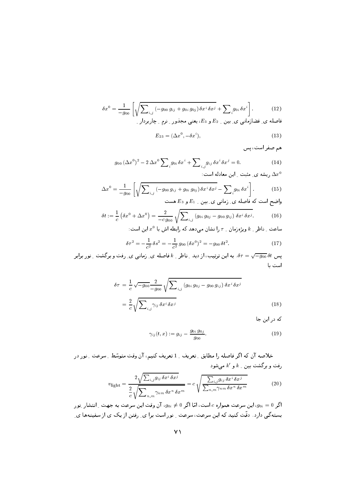$$
\delta x^0 = \frac{1}{-g_{00}} \left[ \sqrt{\sum_{i,j} \left( -g_{00} g_{ij} + g_{0i} g_{0j} \right) \delta x^i \, \delta x^j} + \sum_{i} g_{0i} \, \delta x^i \right] \tag{12}
$$

فاصله ی ِ فضازمانی ی ِ بین ِ E2 و E3، یعنی مجذور ِ نرم ِ چاربردار ِ

$$
E_{23} = (\Delta x^0, -\delta x^i), \tag{13}
$$

هم صفر است، پس

$$
g_{00} (\Delta x^{0})^{2} - 2 \Delta x^{0} \sum_{i} g_{0i} \delta x^{i} + \sum_{i,j} g_{ij} \delta x^{i} \delta x^{j} = 0.
$$
 (14)  
...  

$$
\Delta x^{0} = 0.
$$

$$
\Delta x^0 = \frac{1}{-g_{00}} \left[ \sqrt{\sum_{i,j} \left( -g_{00} g_{ij} + g_{0i} g_{0j} \right) \delta x^i \, \delta x^j} - \sum_{i} g_{0i} \, \delta x^i \right]. \tag{15}
$$

$$
\delta t := \frac{1}{c} \left( \delta x^0 + \Delta x^0 \right) = \frac{2}{-c g_{00}} \sqrt{\sum_{i,j} \left( g_{0i} g_{0j} - g_{00} g_{ij} \right) \delta x^i \delta x^j}.
$$
 (16)

$$
\delta\tau^2 = -\frac{1}{c^2}\,\delta s^2 = -\frac{1}{c^2}\,g_{00}\,(\delta x^0)^2 = -g_{00}\,\delta t^2.\tag{17}
$$

پس  $\delta t = \sqrt{-g_{00}} \, \delta t$ . به این ترتیب، از دید ِ ناظر ِ  $k$  فاصله ی ِ زمانی ی ِ رفت و برگشت ِ نور برابر است با

$$
\delta \tau = \frac{1}{c} \sqrt{-g_{00}} \frac{2}{-g_{00}} \sqrt{\sum_{i,j} (g_{0i} g_{0j} - g_{00} g_{ij}) \delta x^{i} \delta x^{j}}
$$

$$
= \frac{2}{c} \sqrt{\sum_{i,j} \gamma_{ij} \delta x^{i} \delta x^{j}}
$$
(18)

که در این جا

$$
\gamma_{ij}(t,x) := g_{ij} - \frac{g_{0i} g_{0j}}{g_{00}}.
$$
\n(19)

خلاصه آن که اگر فاصله را مطابق ِ تعریف ِ 1 تعریف کنیم، آن وقت متوسِّط ِ سرعت ِ نور در رفت و برگشت بین ِ  $k$  و  $k'$  میشود,

$$
v_{\rm light} = \frac{2\sqrt{\sum_{i,j} g_{ij} \,\delta x^i \,\delta x^j}}{2\sqrt{\sum_{n,m} \gamma_{nm} \,\delta x^n \,\delta x^m}} = c \sqrt{\frac{\sum_{i,j} g_{ij} \,\delta x^i \,\delta x^j}{\sum_{n,m} \gamma_{nm} \,\delta x^n \,\delta x^m}}
$$
(20)

اگر  $g_{0i}=g_{0i}=g$ ، این سرعت همواره c است، امّا اگر  $g_{0i}\neq g_{0i}$ ، آن وقت این سرعت به جهت ِ انتشار ِنور بستهگی دارد. دقّت کنید که این سرعت، سرعت ِ نور است برا ی ِ رفتن از یک ی از سفینهها ی ِ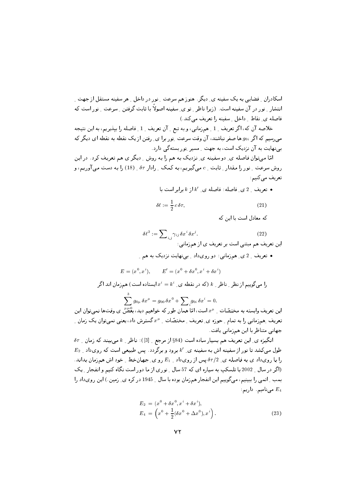اسکادران ِ فضایی به یک سفینه ی ِ دیگر . هنوز هم سرعت ِ نور در داخل ِ هر سفینه مستقل از جهت ِ انتشار ِ نور در آن سفینه است. (زیرا ناظر ِ ِ تو ی ِ سفینه اصولاً با ثابت گرفتن ِ سرعت ِ نور است که فاصله ی نقاط داخل میفینه را تعریف می کند.)

خلاصه آن که، اگر تعریف 1 \_ همزمانی، و به تبع \_ آن تعریف \_ 1 \_ فاصله را بیذیریم، به این نتیجه مهیرسیم که اگر  $g_{0i}$  ها صفر نباشند، آن وقت سرعت ِنور برا ی ِ رفتن از یک نقطه به نقطه ای دیگر که بی نهایت به آن نزدیک است، به جهت ِ مسیر ِ نور بستهگی دارد.

امّا میتوان فاصله ی ِ دو سفینه ی ِ نزدیک به هم را به روش ِ دیگر ی هم تعریف کرد . در این روش سرعت ِ نور را مقدار ِ ثابت ِ c میگیریم، به کمک ِ رادار  $\delta\tau$  ِ (18) را به دست می آوریم، و تعريف مي كنيم:

• تعریف  $2$ ی فاصله: فاصله ی  $k'$ از  $k$ برابر است با

$$
\delta \ell := \frac{1}{2} c \, \delta \tau,\tag{21}
$$

که معادل است با این که

$$
\delta \ell^2 := \sum_{i,j} \gamma_{ij} \, \delta x^i \, \delta x^j.
$$
 (22)

• تعریف <sub>-</sub> 2 ی ِ همزمانی: دو رویداد <sub>- بی</sub>نهایت نزدیک به هم <sub>-</sub>

$$
E = (x^{0}, x^{i}), \qquad E' = (x^{0} + \delta x^{0}, x^{i} + \delta x^{i})
$$

را میگوییم از نظر ِ ناظر ِ  $k$  (که در نقطه ی ِ  $x^i=k^i$  ایستاده است) همزمان اند اگر  $\sum_{i=1}^{n} g_{0\mu} \, \delta x^{\mu} = g_{00} \, \delta x^{0} + \sum_{i=1}^{n} g_{0i} \, \delta x^{i} = 0.$ 

این تعریف وابسته به مختصّات ِ ۳۰ است، امّا همان طور که خواهیم دید، بعضَّ ی وقتها نمیٍتوان این تعریف ِ همزمانی را به تمام ِ حوزه ی ِ تعریف ِ مختصّات ِ  $x^\mu$  گسترش داد، یعنی نمی توان یک زمان ِ جهانی متناظر با این همزمانی یافت.

 $\delta \tau$  انگیزه ی ِ این تعریف هم بسیار ساده است (84\$ از مرجع ِ [3]): ناظر ِ  $k$  میبیند که زمان ِ  $E_2$  طول می کشد تا نور از سفینه اش به سفینه ی ـ k' برود و برگردد. پس طبیعی است که رویداد ـ  $E_2$ را با رویداد ی به فاصله ی ِ  $\delta\tau/2$ پس از رویداد ِ E1 رو ی ِ جهانخط ِ خود اش همزمان بداند. (اگر در سال 9002 با تلسکب به سیاره ای که 57 سال پنوری از ما دور است نگاه کنیم و انفجار پیک بمب \_ اتمي را ببينيم، مي گوييم اين انفجار همزمان بوده با سال \_ 1945 در كره ي\_ زمين.) اين رويداد را ، مىنامىم دارىم  $E_4$ 

$$
E_2 = (x^0 + \delta x^0, x^i + \delta x^i),
$$
  
\n
$$
E_4 = \left(x^0 + \frac{1}{2}(\delta x^0 + \Delta x^0), x^i\right).
$$
\n(23)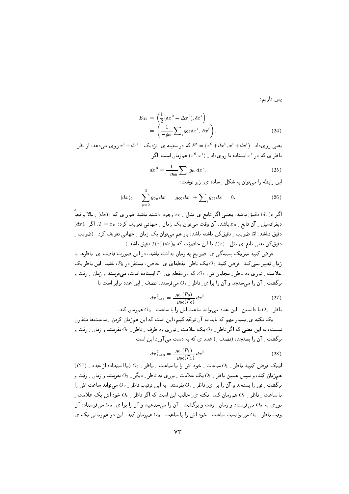یس داریم:

$$
E_{42} = \left(\frac{1}{2}(\delta x^0 - \Delta x^0), \delta x^i\right)
$$
  
= 
$$
\left(\frac{1}{-g_{00}}\sum_{i} g_{0i} \delta x^i, \delta x^i\right).
$$
 (24)

یعنبی رویداد <sub>ب</sub> ( $x^i + dx^0, x^i + dx^i$  که در سفینه ی ِ نزدیک ب $x^i + dx^i$  روی می دهد، از نظر ب ناظر ی که در  $x^i$  ایستاده با رویداد ِ  $(x^0,x^i)$  همزمان است، اگر

$$
dx^{0} = \frac{1}{-g_{00}} \sum_{i} g_{0i} dx^{i}.
$$
 (25)

این رابطه را میتوان به شکل ِ ساده ی ِ زیر نوشت:

$$
(dx)_0 := \sum_{\mu=0}^{3} g_{0\mu} dx^{\mu} = g_{00} dx^0 + \sum_{i} g_{0i} dx^i = 0.
$$
 (26)

اگر  $(dx)$  دقیق باشد، یعنبی اگر تابع ی مثل ِ 50 وجود داشته باشد طور ی که  $(dx)$  ِ بالا واقعاً  $f\left( dx\right) _{0}$  دیفرانسیل ۱ آن تابع ۱  $x_{0}$  باشد، آن وقت میتوان یک زمان ۱ جهانبی تعریف کرد ا دقیق نباشد، امّا ضریب ِ دقیق کن داشته باشد، باز هم می;توان یک زمان ِ جهانی تعریف کرد. (ضریب ِ  $f(x)$  دقیق کن یعنی تابع ی مثل  $f(x)$  با این خاصیّت که  $f(x)$  دقیق باشد.)

$$
dx_{0\to 1}^0 = \frac{g_{0i}(P_0)}{-g_{00}(P_0)} dx^i.
$$
 (27)

ناظر ہے وہ ادانستن ہے این عدد می تواند ساعت اش را یا ساعت ہے وہ همزمان کند .

یک نکته ی ِ بسیار مهم که باید به آن توجّه کنیم، این است که این همزمان کردن ِ ساعتها متقارن نیست، به این معنی که اگر ناظر <sub>-</sub> 01 یک علامت <sub>-</sub> نوری به طرف <sub>-</sub> ناظر <sub>-</sub> 00 بفرستد و زمان <sub>-</sub> رفت و برگشت ِ آن را بسنجد، (نصف ِ ) عدد ی که به دست می آورد این است

$$
dx_{1\to 0}^0 = \frac{g_{0i}(P_1)}{-g_{00}(P_1)} dx^i.
$$
 (28)

اینک فرض کنید ناظر 21 ساعت و خود اش را با ساعت و ناظر و 00 (با استفاده از عدد و (27)) همزمان کند، و سیس همین ناظر <sub>-</sub> 01 یک علامت <sub>-</sub> نوری به ناظر <sub>-</sub> دیگر <sub>-</sub> 22 بفرستد و زمان <sub>-</sub> رفت و برگشت ِ نور را بسنجد و آن را برا ی ِ ناظر ِ  $O_2$  بفرستد. به این ترتیب ناظر ِ  $O_2$  می تواند ساعت اش را با ساعت ِ ناظر ِ 01 همزمان کند. نکته ی ِ جالب این است که اگر ناظر ِ 00 خود اش یک علامت ِ نوری به  $O_2$  میفرستاد و زمان ِ رفت و برگشت ِ آن را میسنجید و آن را برا ی ِ ر $O_2$  میفرستاد، آن وقت ناظر <sub>-</sub> 02 می;توانست ساعت <sub>-</sub> خود اش را با ساعت <sub>- 0</sub>0 همزمان کند. این دو همزمانی یک ی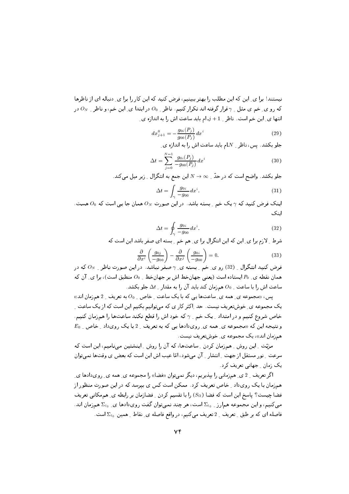نیستند! برا ی ِ این که این مطلب را بهتر ببینیم، فرض کنید که این کار را برا ی ِ دنباله ای از ناظرها که رو ی ِ خم ی مثل ِ 7 قرار گرفته اند تکرار کنیم. ناظر ِ 00 در ابتدا ی ِ این خم، و ناظر ِ  $O_N$  در انتها ى ِ اين خم است. ناظر 1 + ز ـ ام بايد ساعت اش را به اندازه ى ِ

$$
dx_{j+1}^0 = -\frac{g_{0i}(P_j)}{g_{00}(P_j)} dx^i
$$
 (29)

جلو بکشد. پس، ناظر 1 $N$ - باید ساعت اش را به اندازه ی

$$
\Delta t = \sum_{j=0}^{N-1} \frac{g_{0i}(P_j)}{-g_{00}(P_j)} dx^i
$$
\n(30)

جلو بکشد. واضح است که در حدّ \_ $\infty \times N \rightarrow N$  این جمع به انتگرال \_ زیر میل میکند.

$$
\Delta t = \int_{\gamma} \frac{g_{0i}}{-g_{00}} dx^i. \tag{31}
$$

اینک فرض کنید که  $\gamma$ یک خم ِ بسته باشد. در این صورت  $O_N$  همان جا یی است که  $O_0$  هست. اىنك

$$
\Delta t = \oint_{\gamma} \frac{g_{0i}}{-g_{00}} dx^i.
$$
\n(32)

شرط \_ لازم برا ي\_ اين كه اين انتگرال برا ي\_ هم خم \_ بسته اي صفر باشد اين است كه

$$
\frac{\partial}{\partial x^i} \left( \frac{g_{0j}}{-g_{00}} \right) - \frac{\partial}{\partial x^j} \left( \frac{g_{0i}}{-g_{00}} \right) = 0.
$$
\n(33)

فرض کنید انتگرال <sub>-</sub> (32) رو ی ِ خم ِ بِسته ی ِ γ صفر نباشد. در این صورت ناظر <sub>-</sub> Ω که در همان نقطه ي P<sub>0</sub> ايستاده است (يعني جهانخط اش بر جهانخط \_ O<sub>0</sub> منطبق است)، برا ي ِ آن كه ساعت اش را با ساعت ِ $O_0$  همزمان کند باید آن را به مقدار ِ  $\Delta t$  جلو بکشد.

یس، «مجموعه ی ِ همه ی ِ ساعتها یی که با یک ساعت ِ خاص ِ ہ $O_0$ به تعریف ِ 2 همزمان اند» یک مجموعه ی ِ خوشتعریف نیست. حد اِکثر کار ی که میتوانیم بکنیم این است که از یک ساعت ِ خاص شروع کنیم و در امتداد <sub>-</sub> یک خم <sub>- 1</sub> که خود اش را قطع نکند ساعتها را همزمان کنیم.  $E_0$  و نتیجه این که «مجموعه ی ِ همه ی ِ رویدادها یی که به تعریف ِ 2 با یک رویداد ِ خاص ِ همزمان اند»، یک مجموعه ی ِ خوشتعریف نیست.

مزیّت \_ این روش \_ همزمان کردن \_ ساعتها، که آن را روش \_ اینشتین می نامیم، این است که سرعت ِ نور مستقل از جهت ِ انتشار ِ آن میشود، امّا عیب اش این است که بعض ی وقتها نمی توان یک زمان ِ جهانی تعریف کرد.

اگر تعریف \_ 2 ی ِ همزمانی را بپذیریم، دیگر نمیتوان «فضا» را مجموعه ی ِ همه ی ِ رویدادها ی ِ همزمان با یک رویداد ِ خاص تعریف کرد. ممکن است کس ی بیرسد که در این صورت منظور از فضا چیست؟ پاسخ این است که فضا  $(S_{\Omega})$  را با تقسیم کردن ِ فضازمان بر رابطه ی ِ هم مکانی تعریف میکنیم، و این مجموعه همارز \_ 2 است، هر چند نمیتوان گفت رویدادها ی \_ 2 اممزمان اند. فاصله ای که بر طبق \_ تعریف \_ 2 تعریف میکنیم، در واقع فاصله ی\_ نقاط \_ همین  $\Sigma_{t_0}$  است.